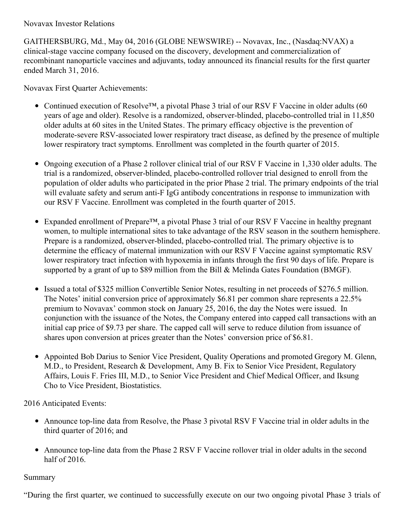# Novavax Investor Relations

GAITHERSBURG, Md., May 04, 2016 (GLOBE NEWSWIRE) -- Novavax, Inc., (Nasdaq:NVAX) a clinical-stage vaccine company focused on the discovery, development and commercialization of recombinant nanoparticle vaccines and adjuvants, today announced its financial results for the first quarter ended March 31, 2016.

Novavax First Quarter Achievements:

- Continued execution of Resolve™, a pivotal Phase 3 trial of our RSV F Vaccine in older adults (60 years of age and older). Resolve is a randomized, observer-blinded, placebo-controlled trial in 11,850 older adults at 60 sites in the United States. The primary efficacy objective is the prevention of moderate-severe RSV-associated lower respiratory tract disease, as defined by the presence of multiple lower respiratory tract symptoms. Enrollment was completed in the fourth quarter of 2015.
- Ongoing execution of a Phase 2 rollover clinical trial of our RSV F Vaccine in 1,330 older adults. The trial is a randomized, observer-blinded, placebo-controlled rollover trial designed to enroll from the population of older adults who participated in the prior Phase 2 trial. The primary endpoints of the trial will evaluate safety and serum anti-F IgG antibody concentrations in response to immunization with our RSV F Vaccine. Enrollment was completed in the fourth quarter of 2015.
- Expanded enrollment of Prepare™, a pivotal Phase 3 trial of our RSV F Vaccine in healthy pregnant  $\bullet$ women, to multiple international sites to take advantage of the RSV season in the southern hemisphere. Prepare is a randomized, observer-blinded, placebo-controlled trial. The primary objective is to determine the efficacy of maternal immunization with our RSV F Vaccine against symptomatic RSV lower respiratory tract infection with hypoxemia in infants through the first 90 days of life. Prepare is supported by a grant of up to \$89 million from the Bill & Melinda Gates Foundation (BMGF).
- Issued a total of \$325 million Convertible Senior Notes, resulting in net proceeds of \$276.5 million. The Notes' initial conversion price of approximately \$6.81 per common share represents a 22.5% premium to Novavax' common stock on January 25, 2016, the day the Notes were issued. In conjunction with the issuance of the Notes, the Company entered into capped call transactions with an initial cap price of \$9.73 per share. The capped call will serve to reduce dilution from issuance of shares upon conversion at prices greater than the Notes' conversion price of \$6.81.
- Appointed Bob Darius to Senior Vice President, Quality Operations and promoted Gregory M. Glenn, M.D., to President, Research & Development, Amy B. Fix to Senior Vice President, Regulatory Affairs, Louis F. Fries III, M.D., to Senior Vice President and Chief Medical Officer, and Iksung Cho to Vice President, Biostatistics.

2016 Anticipated Events:

- Announce top-line data from Resolve, the Phase 3 pivotal RSV F Vaccine trial in older adults in the third quarter of 2016; and
- Announce top-line data from the Phase 2 RSV F Vaccine rollover trial in older adults in the second half of 2016.

# Summary

"During the first quarter, we continued to successfully execute on our two ongoing pivotal Phase 3 trials of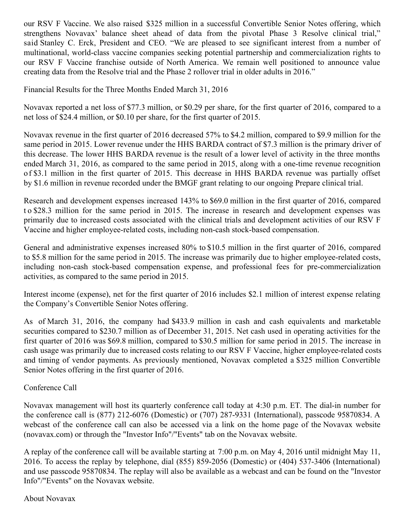our RSV F Vaccine. We also raised \$325 million in a successful Convertible Senior Notes offering, which strengthens Novavax' balance sheet ahead of data from the pivotal Phase 3 Resolve clinical trial," said Stanley C. Erck, President and CEO. "We are pleased to see significant interest from a number of multinational, world-class vaccine companies seeking potential partnership and commercialization rights to our RSV F Vaccine franchise outside of North America. We remain well positioned to announce value creating data from the Resolve trial and the Phase 2 rollover trial in older adults in 2016."

Financial Results for the Three Months Ended March 31, 2016

Novavax reported a net loss of \$77.3 million, or \$0.29 per share, for the first quarter of 2016, compared to a net loss of \$24.4 million, or \$0.10 per share, for the first quarter of 2015.

Novavax revenue in the first quarter of 2016 decreased 57% to \$4.2 million, compared to \$9.9 million for the same period in 2015. Lower revenue under the HHS BARDA contract of \$7.3 million is the primary driver of this decrease. The lower HHS BARDA revenue is the result of a lower level of activity in the three months ended March 31, 2016, as compared to the same period in 2015, along with a one-time revenue recognition o f \$3.1 million in the first quarter of 2015. This decrease in HHS BARDA revenue was partially offset by \$1.6 million in revenue recorded under the BMGF grant relating to our ongoing Prepare clinical trial.

Research and development expenses increased 143% to \$69.0 million in the first quarter of 2016, compared t o \$28.3 million for the same period in 2015. The increase in research and development expenses was primarily due to increased costs associated with the clinical trials and development activities of our RSV F Vaccine and higher employee-related costs, including non-cash stock-based compensation.

General and administrative expenses increased 80% to \$10.5 million in the first quarter of 2016, compared to \$5.8 million for the same period in 2015. The increase was primarily due to higher employee-related costs, including non-cash stock-based compensation expense, and professional fees for pre-commercialization activities, as compared to the same period in 2015.

Interest income (expense), net for the first quarter of 2016 includes \$2.1 million of interest expense relating the Company's Convertible Senior Notes offering.

As of March 31, 2016, the company had \$433.9 million in cash and cash equivalents and marketable securities compared to \$230.7 million as of December 31, 2015. Net cash used in operating activities for the first quarter of 2016 was \$69.8 million, compared to \$30.5 million for same period in 2015. The increase in cash usage was primarily due to increased costs relating to our RSV F Vaccine, higher employee-related costs and timing of vendor payments. As previously mentioned, Novavax completed a \$325 million Convertible Senior Notes offering in the first quarter of 2016.

# Conference Call

Novavax management will host its quarterly conference call today at 4:30 p.m. ET. The dial-in number for the conference call is (877) 212-6076 (Domestic) or (707) 287-9331 (International), passcode 95870834. A webcast of the conference call can also be accessed via a link on the home page of the Novavax website (novavax.com) or through the "Investor Info"/"Events" tab on the Novavax website.

A replay of the conference call will be available starting at 7:00 p.m. on May 4, 2016 until midnight May 11, 2016. To access the replay by telephone, dial (855) 859-2056 (Domestic) or (404) 537-3406 (International) and use passcode 95870834. The replay will also be available as a webcast and can be found on the "Investor Info"/"Events" on the Novavax website.

#### About Novavax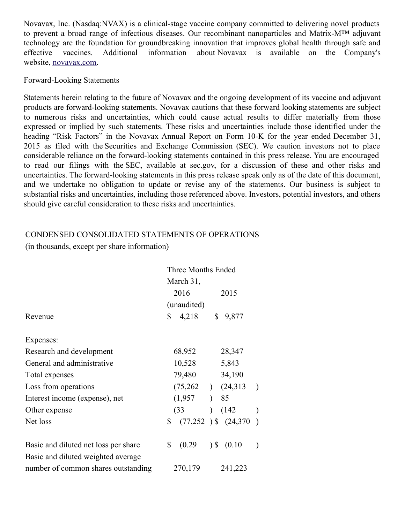Novavax, Inc. (Nasdaq:NVAX) is a clinical-stage vaccine company committed to delivering novel products to prevent a broad range of infectious diseases. Our recombinant nanoparticles and Matrix-M™ adjuvant technology are the foundation for groundbreaking innovation that improves global health through safe and effective vaccines. Additional information about Novavax is available on the Company's website, [novavax.com](http://www.globenewswire.com/Tracker?data=vutb7uRDeisHunFq6Py1HpUPsBTtac9BbHhr5Y1ImhBnGn5a7MPD8vpC-Z0IS31VZIxhfmsp5m1WJYobZhiLoA==).

### Forward-Looking Statements

Statements herein relating to the future of Novavax and the ongoing development of its vaccine and adjuvant products are forward-looking statements. Novavax cautions that these forward looking statements are subject to numerous risks and uncertainties, which could cause actual results to differ materially from those expressed or implied by such statements. These risks and uncertainties include those identified under the heading "Risk Factors" in the Novavax Annual Report on Form 10-K for the year ended December 31, 2015 as filed with the Securities and Exchange Commission (SEC). We caution investors not to place considerable reliance on the forward-looking statements contained in this press release. You are encouraged to read our filings with the SEC, available at sec.gov, for a discussion of these and other risks and uncertainties. The forward-looking statements in this press release speak only as of the date of this document, and we undertake no obligation to update or revise any of the statements. Our business is subject to substantial risks and uncertainties, including those referenced above. Investors, potential investors, and others should give careful consideration to these risks and uncertainties.

# CONDENSED CONSOLIDATED STATEMENTS OF OPERATIONS

(in thousands, except per share information)

|                                      | <b>Three Months Ended</b><br>March 31, |                       |                          |                          |               |
|--------------------------------------|----------------------------------------|-----------------------|--------------------------|--------------------------|---------------|
|                                      |                                        |                       |                          |                          |               |
|                                      |                                        | 2016                  |                          | 2015                     |               |
|                                      | (unaudited)                            |                       |                          |                          |               |
| Revenue                              | \$                                     | 4,218                 | \$                       | 9,877                    |               |
| Expenses:                            |                                        |                       |                          |                          |               |
| Research and development             |                                        | 68,952                |                          | 28,347                   |               |
| General and administrative           | 10,528                                 |                       |                          | 5,843                    |               |
| Total expenses                       | 79,480<br>34,190                       |                       |                          |                          |               |
| Loss from operations                 |                                        | $(75,262)$ $(24,313)$ |                          |                          | $\lambda$     |
| Interest income (expense), net       |                                        | (1,957)               | $\lambda$                | 85                       |               |
| Other expense                        |                                        | (33)                  | $\lambda$                | (142)                    | $\mathcal{E}$ |
| Net loss                             | \$                                     |                       |                          | $(77,252)$ \$ $(24,370)$ |               |
| Basic and diluted net loss per share | \$                                     | (0.29)                | $\overline{\phantom{a}}$ | (0.10)                   |               |
| Basic and diluted weighted average   |                                        |                       |                          |                          |               |
| number of common shares outstanding  |                                        | 270,179               |                          | 241,223                  |               |